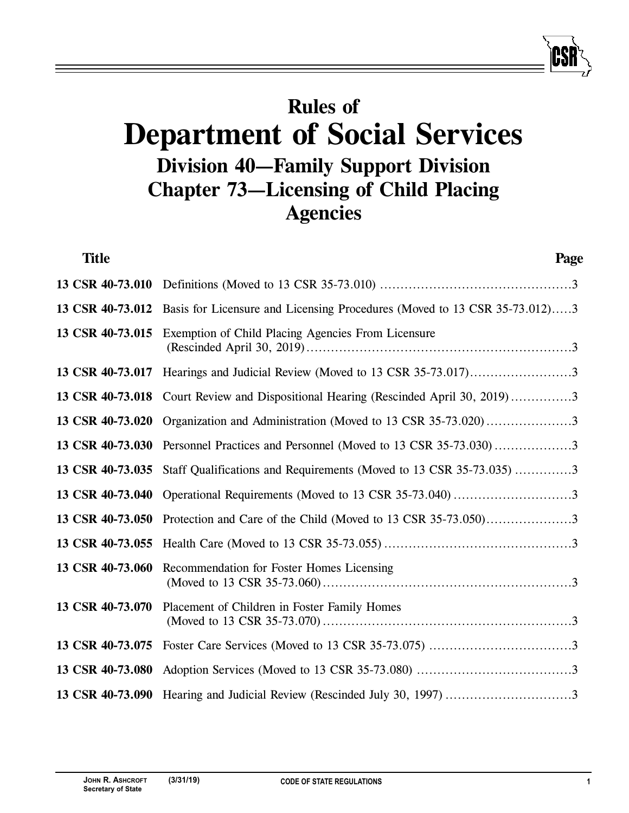## **Rules of Department of Social Services Division 40—Family Support Division Chapter 73—Licensing of Child Placing Agencies**

| <b>Title</b>     | Page                                                                                |
|------------------|-------------------------------------------------------------------------------------|
|                  |                                                                                     |
| 13 CSR 40-73.012 | Basis for Licensure and Licensing Procedures (Moved to 13 CSR 35-73.012)3           |
| 13 CSR 40-73.015 | Exemption of Child Placing Agencies From Licensure                                  |
|                  |                                                                                     |
|                  | 13 CSR 40-73.018 Court Review and Dispositional Hearing (Rescinded April 30, 2019)3 |
| 13 CSR 40-73.020 | Organization and Administration (Moved to 13 CSR 35-73.020)3                        |
|                  | 13 CSR 40-73.030 Personnel Practices and Personnel (Moved to 13 CSR 35-73.030)3     |
| 13 CSR 40-73.035 | Staff Qualifications and Requirements (Moved to 13 CSR 35-73.035) 3                 |
| 13 CSR 40-73.040 | Operational Requirements (Moved to 13 CSR 35-73.040) 3                              |
| 13 CSR 40-73.050 |                                                                                     |
| 13 CSR 40-73.055 |                                                                                     |
| 13 CSR 40-73.060 | Recommendation for Foster Homes Licensing                                           |
| 13 CSR 40-73.070 | Placement of Children in Foster Family Homes                                        |
| 13 CSR 40-73.075 |                                                                                     |
|                  |                                                                                     |
|                  |                                                                                     |